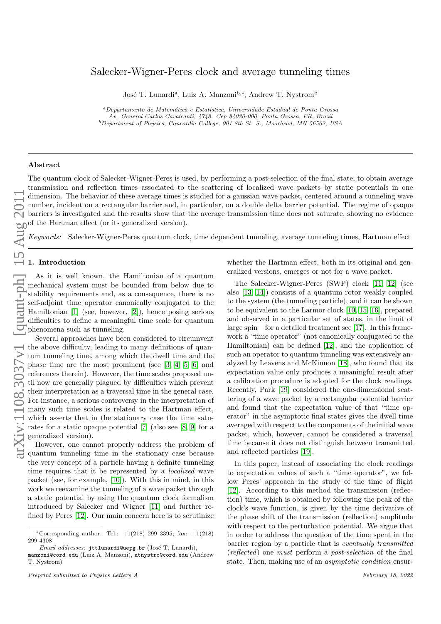# Salecker-Wigner-Peres clock and average tunneling times

José T. Lunardi<sup>a</sup>, Luiz A. Manzoni<sup>b,∗</sup>, Andrew T. Nystrom<sup>b</sup>

<sup>a</sup>Departamento de Matemática e Estatística, Universidade Estadual de Ponta Grossa Av. General Carlos Cavalcanti, 4748. Cep 84030-000, Ponta Grossa, PR, Brazil  $^{b}$ Department of Physics, Concordia College, 901 8th St. S., Moorhead, MN 56562, USA

## Abstract

The quantum clock of Salecker-Wigner-Peres is used, by performing a post-selection of the final state, to obtain average transmission and reflection times associated to the scattering of localized wave packets by static potentials in one dimension. The behavior of these average times is studied for a gaussian wave packet, centered around a tunneling wave number, incident on a rectangular barrier and, in particular, on a double delta barrier potential. The regime of opaque barriers is investigated and the results show that the average transmission time does not saturate, showing no evidence of the Hartman effect (or its generalized version).

Keywords: Salecker-Wigner-Peres quantum clock, time dependent tunneling, average tunneling times, Hartman effect

## 1. Introduction

As it is well known, the Hamiltonian of a quantum mechanical system must be bounded from below due to stability requirements and, as a consequence, there is no self-adjoint time operator canonically conjugated to the Hamiltonian [\[1\]](#page-7-0) (see, however, [\[2\]](#page-7-1)), hence posing serious difficulties to define a meaningful time scale for quantum phenomena such as tunneling.

Several approaches have been considered to circumvent the above difficulty, leading to many definitions of quantum tunneling time, among which the dwell time and the phase time are the most prominent (see [\[3,](#page-7-2) [4,](#page-7-3) [5,](#page-7-4) [6\]](#page-7-5) and references therein). However, the time scales proposed until now are generally plagued by difficulties which prevent their interpretation as a traversal time in the general case. For instance, a serious controversy in the interpretation of many such time scales is related to the Hartman effect, which asserts that in the stationary case the time saturates for a static opaque potential [\[7\]](#page-7-6) (also see [\[8,](#page-7-7) [9\]](#page-7-8) for a generalized version).

However, one cannot properly address the problem of quantum tunneling time in the stationary case because the very concept of a particle having a definite tunneling time requires that it be represented by a *localized* wave packet (see, for example, [\[10\]](#page-7-9)). With this in mind, in this work we reexamine the tunneling of a wave packet through a static potential by using the quantum clock formalism introduced by Salecker and Wigner [\[11\]](#page-7-10) and further refined by Peres [\[12\]](#page-7-11). Our main concern here is to scrutinize

whether the Hartman effect, both in its original and generalized versions, emerges or not for a wave packet.

The Salecker-Wigner-Peres (SWP) clock [\[11,](#page-7-10) [12\]](#page-7-11) (see also [\[13,](#page-7-12) [14\]](#page-7-13)) consists of a quantum rotor weakly coupled to the system (the tunneling particle), and it can be shown to be equivalent to the Larmor clock [\[10,](#page-7-9) [15,](#page-7-14) [16\]](#page-7-15), prepared and observed in a particular set of states, in the limit of large spin – for a detailed treatment see [\[17\]](#page-7-16). In this framework a "time operator" (not canonically conjugated to the Hamiltonian) can be defined [\[12\]](#page-7-11), and the application of such an operator to quantum tunneling was extensively analyzed by Leavens and McKinnon [\[18\]](#page-7-17), who found that its expectation value only produces a meaningful result after a calibration procedure is adopted for the clock readings. Recently, Park [\[19\]](#page-7-18) considered the one-dimensional scattering of a wave packet by a rectangular potential barrier and found that the expectation value of that "time operator" in the asymptotic final states gives the dwell time averaged with respect to the components of the initial wave packet, which, however, cannot be considered a traversal time because it does not distinguish between transmitted and reflected particles [\[19\]](#page-7-18).

In this paper, instead of associating the clock readings to expectation values of such a "time operator", we follow Peres' approach in the study of the time of flight [\[12\]](#page-7-11). According to this method the transmission (reflection) time, which is obtained by following the peak of the clock's wave function, is given by the time derivative of the phase shift of the transmission (reflection) amplitude with respect to the perturbation potential. We argue that in order to address the question of the time spent in the barrier region by a particle that is eventually transmitted (reflected) one must perform a post-selection of the final state. Then, making use of an asymptotic condition ensur-

<sup>\*</sup>Corresponding author. Tel.:  $+1(218)$  299 3395; fax:  $+1(218)$ 299 4308

Email addresses: jttlunardi@uepg.br (José T. Lunardi),

manzoni@cord.edu (Luiz A. Manzoni), atnystro@cord.edu (Andrew T. Nystrom)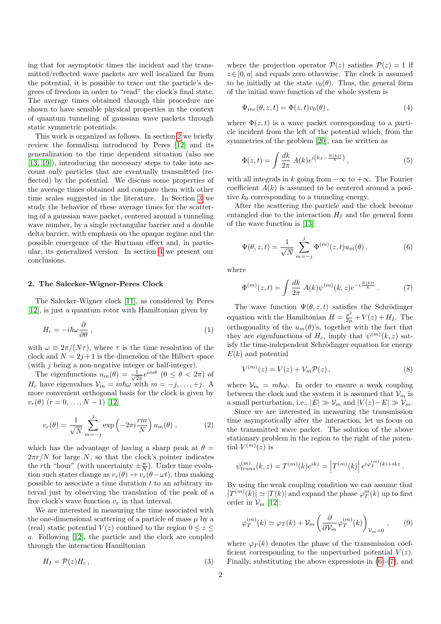ing that for asymptotic times the incident and the transmitted/reflected wave packets are well localized far from the potential, it is possible to trace out the particle's degrees of freedom in order to "read" the clock's final state. The average times obtained through this procedure are shown to have sensible physical properties in the context of quantum tunneling of gaussian wave packets through static symmetric potentials.

This work is organized as follows. In section [2](#page-1-0) we briefly review the formalism introduced by Peres [\[12\]](#page-7-11) and its generalization to the time dependent situation (also see [\[13,](#page-7-12) [19\]](#page-7-18)), introducing the necessary steps to take into account only particles that are eventually transmitted (reflected) by the potential. We discuss some properties of the average times obtained and compare them with other time scales suggested in the literature. In Section [3](#page-3-0) we study the behavior of these average times for the scattering of a gaussian wave packet, centered around a tunneling wave number, by a single rectangular barrier and a double delta barrier, with emphasis on the opaque regime and the possible emergence of the Hartman effect and, in particular, its generalized version. In section [4](#page-6-0) we present our conclusions.

## <span id="page-1-0"></span>2. The Salecker-Wigner-Peres Clock

The Salecker-Wigner clock [\[11\]](#page-7-10), as considered by Peres [\[12\]](#page-7-11), is just a quantum rotor with Hamiltonian given by

$$
H_c = -i\hbar\omega\frac{\partial}{\partial\theta} \,,\tag{1}
$$

with  $\omega \equiv 2\pi/(N\tau)$ , where  $\tau$  is the time resolution of the clock and  $N = 2j + 1$  is the dimension of the Hilbert space (with  $j$  being a non-negative integer or half-integer).

The eigenfunctions  $u_m(\theta) = \frac{1}{\sqrt{2}}$  $\frac{1}{2\pi}e^{im\theta}$   $(0 \le \theta < 2\pi)$  of  $H_c$  have eigenvalues  $\mathcal{V}_m = m\hbar\omega$  with  $m = -j, \ldots, +j$ . A more convenient orthogonal basis for the clock is given by  $v_r(\theta)$   $(r = 0, \ldots, N - 1)$  [\[12\]](#page-7-11)

$$
v_r(\theta) = \frac{1}{\sqrt{N}} \sum_{m=-j}^{j} \exp\left(-2\pi i \frac{rm}{N}\right) u_m(\theta) , \qquad (2)
$$

which has the advantage of having a sharp peak at  $\theta =$  $2\pi r/N$  for large N, so that the clock's pointer indicates the *r*th "hour" (with uncertainty  $\pm \frac{\pi}{N}$ ). Under time evolution such states change as  $v_r(\theta) \rightarrow v_r(\theta - \omega t)$ , thus making possible to associate a time duration  $t$  to an arbitrary interval just by observing the translation of the peak of a free clock's wave function  $v_r$  in that interval.

We are interested in measuring the time associated with the one-dimensional scattering of a particle of mass  $\mu$  by a (real) static potential  $V(z)$  confined to the region  $0 \leq z \leq$ a. Following [\[12\]](#page-7-11), the particle and the clock are coupled through the interaction Hamiltonian

$$
H_I = \mathcal{P}(z)H_c\,,\tag{3}
$$

where the projection operator  $P(z)$  satisfies  $P(z) = 1$  if  $z \in [0, a]$  and equals zero otherwise. The clock is assumed to be initially at the state  $v_0(\theta)$ . Thus, the general form of the initial wave function of the whole system is

$$
\Psi_{inc}(\theta, z, t) = \Phi(z, t)v_0(\theta), \qquad (4)
$$

where  $\Phi(z, t)$  is a wave packet corresponding to a particle incident from the left of the potential which, from the symmetries of the problem [\[20\]](#page-7-19), can be written as

$$
\Phi(z,t) = \int \frac{dk}{2\pi} A(k)e^{i(kz - \frac{E(k)t}{\hbar})},\tag{5}
$$

with all integrals in k going from  $-\infty$  to  $+\infty$ . The Fourier coefficient  $A(k)$  is assumed to be centered around a positive  $k_0$  corresponding to a tunneling energy.

After the scattering the particle and the clock become entangled due to the interaction  $H_I$  and the general form of the wave function is [\[13\]](#page-7-12)

<span id="page-1-1"></span>
$$
\Psi(\theta, z, t) = \frac{1}{\sqrt{N}} \sum_{m=-j}^{j} \Phi^{(m)}(z, t) u_m(\theta), \qquad (6)
$$

where

<span id="page-1-2"></span>
$$
\Phi^{(m)}(z,t) = \int \frac{dk}{2\pi} A(k) \psi^{(m)}(k,z) e^{-i\frac{E(k)t}{\hbar}}.
$$
 (7)

The wave function  $\Psi(\theta, z, t)$  satisfies the Schrödinger equation with the Hamiltonian  $H = \frac{p^2}{2\mu} + V(z) + H_I$ . The orthogonality of the  $u_m(\theta)$ 's, together with the fact that they are eigenfunctions of  $H_c$ , imply that  $\psi^{(m)}(k, z)$  satisfy the time-independent Schrödinger equation for energy  $E(k)$  and potential

$$
V^{(m)}(z) = V(z) + V_m \mathcal{P}(z), \qquad (8)
$$

where  $V_m = m\hbar\omega$ . In order to ensure a weak coupling between the clock and the system it is assumed that  $\mathcal{V}_m$  is a small perturbation, i.e.,  $|E| \gg V_m$  and  $|V(z)-E| \gg V_m$ .

Since we are interested in measuring the transmission time asymptotically after the interaction, let us focus on the transmitted wave packet. The solution of the above stationary problem in the region to the right of the potential  $V^{(m)}(z)$  is

$$
\psi_{trans}^{(m)}(k,z) = T^{(m)}(k)e^{ikz} = |T^{(m)}(k)| e^{i\varphi_T^{(m)}(k) + ikz}.
$$

By using the weak coupling condition we can assume that  $|T^{(m)}(k)| \simeq |T(k)|$  and expand the phase  $\varphi_T^m(k)$  up to first order in  $\mathcal{V}_m$  [\[12\]](#page-7-11):

<span id="page-1-3"></span>
$$
\varphi_T^{(m)}(k) \simeq \varphi_T(k) + \mathcal{V}_m\left(\frac{\partial}{\partial \mathcal{V}_m} \varphi_T^{(m)}(k)\right)_{\mathcal{V}_m=0},\qquad(9)
$$

where  $\varphi_T(k)$  denotes the phase of the transmission coefficient corresponding to the unperturbed potential  $V(z)$ . Finally, substituting the above expressions in [\(6\)](#page-1-1)-[\(7\)](#page-1-2), and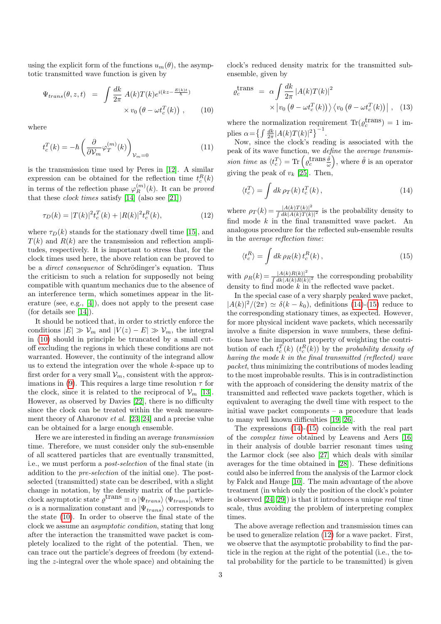using the explicit form of the functions  $u_m(\theta)$ , the asymptotic transmitted wave function is given by

<span id="page-2-0"></span>
$$
\Psi_{trans}(\theta, z, t) = \int \frac{dk}{2\pi} A(k) T(k) e^{i(kz - \frac{E(k)t}{\hbar})}
$$

$$
\times v_0 \left(\theta - \omega t_c^T(k)\right), \qquad (10)
$$

where

<span id="page-2-4"></span>
$$
t_c^T(k) = -\hbar \left( \frac{\partial}{\partial \mathcal{V}_m} \varphi_T^{(m)}(k) \right)_{\mathcal{V}_m = 0}
$$
 (11)

is the transmission time used by Peres in [\[12\]](#page-7-11). A similar expression can be obtained for the reflection time  $t_c^R(k)$ in terms of the reflection phase  $\varphi_R^{(m)}(k)$ . It can be *proved* that these *clock times* satisfy  $[14]$  (also see  $[21]$ )

<span id="page-2-3"></span>
$$
\tau_D(k) = |T(k)|^2 t_c^T(k) + |R(k)|^2 t_c^R(k),\tag{12}
$$

where  $\tau_D(k)$  stands for the stationary dwell time [\[15\]](#page-7-14), and  $T(k)$  and  $R(k)$  are the transmission and reflection amplitudes, respectively. It is important to stress that, for the clock times used here, the above relation can be proved to be a *direct consequence* of Schrödinger's equation. Thus the criticism to such a relation for supposedly not being compatible with quantum mechanics due to the absence of an interference term, which sometimes appear in the literature (see, e.g., [\[4\]](#page-7-3)), does not apply to the present case (for details see [\[14\]](#page-7-13)).

It should be noticed that, in order to strictly enforce the conditions  $|E| \gg V_m$  and  $|V(z) - E| \gg V_m$ , the integral in [\(10\)](#page-2-0) should in principle be truncated by a small cutoff excluding the regions in which these conditions are not warranted. However, the continuity of the integrand allow us to extend the integration over the whole k-space up to first order for a very small  $\mathcal{V}_m$ , consistent with the approx-imations in [\(9\)](#page-1-3). This requires a large time resolution  $\tau$  for the clock, since it is related to the reciprocal of  $\mathcal{V}_m$  [\[13\]](#page-7-12). However, as observed by Davies [\[22\]](#page-7-21), there is no difficulty since the clock can be treated within the weak measurement theory of Aharonov et al. [\[23,](#page-7-22) [24\]](#page-7-23) and a precise value can be obtained for a large enough ensemble.

Here we are interested in finding an average transmission time. Therefore, we must consider only the sub-ensemble of all scattered particles that are eventually transmitted, i.e., we must perform a post-selection of the final state (in addition to the pre-selection of the initial one). The postselected (transmitted) state can be described, with a slight change in notation, by the density matrix of the particleclock asymptotic state  $\varrho^{\text{trans}} \equiv \alpha |\Psi_{trans}\rangle \langle \Psi_{trans}|$ , where  $\alpha$  is a normalization constant and  $|\Psi_{trans}\rangle$  corresponds to the state [\(10\)](#page-2-0). In order to observe the final state of the clock we assume an asymptotic condition, stating that long after the interaction the transmitted wave packet is completely localized to the right of the potential. Then, we can trace out the particle's degrees of freedom (by extending the z-integral over the whole space) and obtaining the

clock's reduced density matrix for the transmitted subensemble, given by

$$
\varrho_c^{\text{trans}} = \alpha \int \frac{dk}{2\pi} |A(k)T(k)|^2
$$
  
 
$$
\times \left| v_0 \left( \theta - \omega t_c^T(k) \right) \right\rangle \left\langle v_0 \left( \theta - \omega t_c^T(k) \right) \right|, \quad (13)
$$

where the normalization requirement  $\text{Tr}(\varrho_c^{\text{trans}}) = 1$  implies  $\alpha = \left\{ \int \frac{dk}{2\pi} |A(k)T(k)|^2 \right\}^{-1}$ .

Now, since the clock's reading is associated with the peak of its wave function, we define the average transmission time as  $\langle t_c^T \rangle = \text{Tr} \left( \varrho_c^{\text{trans}} \frac{\hat{\theta}}{\omega} \right)$ , where  $\hat{\theta}$  is an operator giving the peak of  $v_k$  [\[25\]](#page-7-24). Then,

<span id="page-2-1"></span>
$$
\langle t_c^T \rangle = \int dk \, \rho_T(k) \, t_c^T(k) \,, \tag{14}
$$

where  $\rho_T(k) = \frac{|A(k)T(k)|^2}{\int dk |A(k)T(k)|^2}$  $\frac{|A(k)I(k)|}{\int dk |A(k)T(k)|^2}$  is the probability density to find mode  $k$  in the final transmitted wave packet. An analogous procedure for the reflected sub-ensemble results in the average reflection time:

<span id="page-2-2"></span>
$$
\langle t_c^R \rangle = \int dk \,\rho_R(k) \, t_c^R(k) \,, \tag{15}
$$

with  $\rho_R(k) = \frac{|A(k)R(k)|^2}{\int dk |A(k)R(k)|^2}$  $\frac{|A(k)R(k)|}{\int dk |A(k)R(k)|^2}$  the corresponding probability density to find mode  $k$  in the reflected wave packet.

In the special case of a very sharply peaked wave packet,  $|A(k)|^2/(2\pi) \simeq \delta(k - k_0)$ , definitions [\(14\)](#page-2-1)-[\(15\)](#page-2-2) reduce to the corresponding stationary times, as expected. However, for more physical incident wave packets, which necessarily involve a finite dispersion in wave numbers, these definitions have the important property of weighting the contribution of each  $t_c^T(k)$   $(t_c^R(k))$  by the probability density of having the mode  $k$  in the final transmitted (reflected) wave packet, thus minimizing the contributions of modes leading to the most improbable results. This is in contradistinction with the approach of considering the density matrix of the transmitted and reflected wave packets together, which is equivalent to averaging the dwell time with respect to the initial wave packet components – a procedure that leads to many well known difficulties [\[19,](#page-7-18) [26\]](#page-7-25).

The expressions [\(14\)](#page-2-1)-[\(15\)](#page-2-2) coincide with the real part of the complex time obtained by Leavens and Aers [\[16\]](#page-7-15) in their analysis of double barrier resonant times using the Larmor clock (see also [\[27\]](#page-7-26) which deals with similar averages for the time obtained in [\[28\]](#page-7-27)). These definitions could also be inferred from the analysis of the Larmor clock by Falck and Hauge [\[10\]](#page-7-9). The main advantage of the above treatment (in which only the position of the clock's pointer is observed [\[24,](#page-7-23) [29\]](#page-7-28)) is that it introduces a unique real time scale, thus avoiding the problem of interpreting complex times.

The above average reflection and transmission times can be used to generalize relation [\(12\)](#page-2-3) for a wave packet. First, we observe that the asymptotic probability to find the particle in the region at the right of the potential (i.e., the total probability for the particle to be transmitted) is given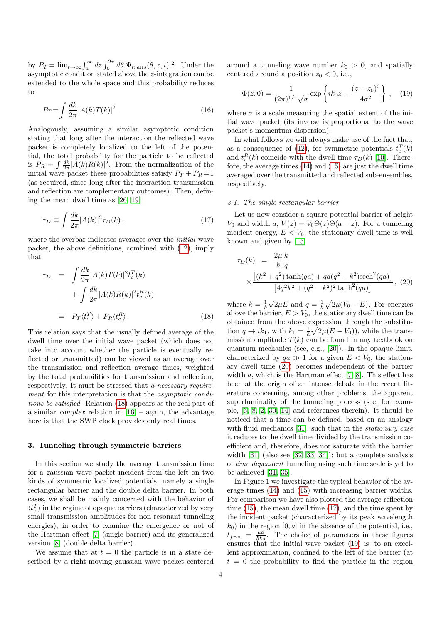by  $P_T = \lim_{t \to \infty} \int_a^{\infty} dz \int_0^{2\pi} d\theta |\Psi_{trans}(\theta, z, t)|^2$ . Under the asymptotic condition stated above the z-integration can be extended to the whole space and this probability reduces to

<span id="page-3-5"></span>
$$
P_T = \int \frac{dk}{2\pi} |A(k)T(k)|^2.
$$
\n(16)

Analogously, assuming a similar asymptotic condition stating that long after the interaction the reflected wave packet is completely localized to the left of the potential, the total probability for the particle to be reflected is  $P_R = \int \frac{dk}{2\pi} |A(k)R(k)|^2$ . From the normalization of the initial wave packet these probabilities satisfy  $P_T + P_R = 1$ (as required, since long after the interaction transmission and reflection are complementary outcomes). Then, defining the mean dwell time as [\[26,](#page-7-25) [19\]](#page-7-18)

<span id="page-3-3"></span>
$$
\overline{\tau_D} \equiv \int \frac{dk}{2\pi} |A(k)|^2 \tau_D(k) \,, \tag{17}
$$

where the overbar indicates averages over the *initial* wave packet, the above definitions, combined with [\(12\)](#page-2-3), imply that

<span id="page-3-1"></span>
$$
\overline{\tau_D} = \int \frac{dk}{2\pi} |A(k)T(k)|^2 t_c^T(k)
$$

$$
+ \int \frac{dk}{2\pi} |A(k)R(k)|^2 t_c^R(k)
$$

$$
= P_T \langle t_c^T \rangle + P_R \langle t_c^R \rangle. \tag{18}
$$

This relation says that the usually defined average of the dwell time over the initial wave packet (which does not take into account whether the particle is eventually reflected or transmitted) can be viewed as an average over the transmission and reflection average times, weighted by the total probabilities for transmission and reflection, respectively. It must be stressed that a necessary requirement for this interpretation is that the *asymptotic condi*tions be satisfied. Relation [\(18\)](#page-3-1) appears as the real part of a similar *complex* relation in  $[16]$  – again, the advantage here is that the SWP clock provides only real times.

## <span id="page-3-0"></span>3. Tunneling through symmetric barriers

In this section we study the average transmission time for a gaussian wave packet incident from the left on two kinds of symmetric localized potentials, namely a single rectangular barrier and the double delta barrier. In both cases, we shall be mainly concerned with the behavior of  $\langle t_c^T \rangle$  in the regime of opaque barriers (characterized by very small transmission amplitudes for non resonant tunneling energies), in order to examine the emergence or not of the Hartman effect [\[7\]](#page-7-6) (single barrier) and its generalized version [\[8\]](#page-7-7) (double delta barrier).

We assume that at  $t = 0$  the particle is in a state described by a right-moving gaussian wave packet centered around a tunneling wave number  $k_0 > 0$ , and spatially centered around a position  $z_0 < 0$ , i.e.,

<span id="page-3-4"></span>
$$
\Phi(z,0) = \frac{1}{(2\pi)^{1/4}\sqrt{\sigma}} \exp\left\{ik_0z - \frac{(z-z_0)^2}{4\sigma^2}\right\},\quad(19)
$$

where  $\sigma$  is a scale measuring the spatial extent of the initial wave packet (its inverse is proportional to the wave packet's momentum dispersion).

In what follows we will always make use of the fact that, as a consequence of [\(12\)](#page-2-3), for symmetric potentials  $t_c^T(k)$ and  $t_c^R(k)$  coincide with the dwell time  $\tau_D(k)$  [\[10\]](#page-7-9). Therefore, the average times [\(14\)](#page-2-1) and [\(15\)](#page-2-2) are just the dwell time averaged over the transmitted and reflected sub-ensembles, respectively.

#### 3.1. The single rectangular barrier

Let us now consider a square potential barrier of height  $V_0$  and width a,  $V(z) = V_0 \Theta(z) \Theta(a - z)$ . For a tunneling incident energy,  $E < V_0$ , the stationary dwell time is well known and given by [\[15\]](#page-7-14)

<span id="page-3-2"></span>
$$
\tau_D(k) = \frac{2\mu k}{\hbar q} \times \frac{\left[ (k^2 + q^2) \tanh(qa) + qa(q^2 - k^2) \text{sech}^2(qa) \right]}{\left[ 4q^2 k^2 + (q^2 - k^2)^2 \tanh^2(qa) \right]}, (20)
$$

where  $k=\frac{1}{\hbar}$  $\sqrt{2\mu E}$  and  $q = \frac{1}{\hbar} \sqrt{2\mu (V_0 - E)}$ . For energies above the barrier,  $E > V_0$ , the stationary dwell time can be obtained from the above expression through the substitution  $q \to ik_1$ , with  $k_1 = \frac{1}{\hbar} \sqrt{2\mu(E - V_0)}$ , while the transmission amplitude  $T(k)$  can be found in any textbook on quantum mechanics (see, e.g., [\[20\]](#page-7-19)). In the opaque limit, characterized by  $qa \gg 1$  for a given  $E < V_0$ , the stationary dwell time [\(20\)](#page-3-2) becomes independent of the barrier width  $a$ , which is the Hartman effect [\[7,](#page-7-6) [8\]](#page-7-7). This effect has been at the origin of an intense debate in the recent literature concerning, among other problems, the apparent superluminality of the tunneling process (see, for example, [\[6,](#page-7-5) [8,](#page-7-7) [2,](#page-7-1) [30,](#page-7-29) [14\]](#page-7-13) and references therein). It should be noticed that a time can be defined, based on an analogy with fluid mechanics [\[31\]](#page-7-30), such that in the *stationary case* it reduces to the dwell time divided by the transmission coefficient and, therefore, does not saturate with the barrier width [\[31\]](#page-7-30) (also see [\[32,](#page-7-31) [33,](#page-7-32) [34\]](#page-7-33)); but a complete analysis of time dependent tunneling using such time scale is yet to be achieved [\[31,](#page-7-30) [35\]](#page-8-0).

In Figure 1 we investigate the typical behavior of the average times [\(14\)](#page-2-1) and [\(15\)](#page-2-2) with increasing barrier widths. For comparison we have also plotted the average reflection time [\(15\)](#page-2-2), the mean dwell time [\(17\)](#page-3-3), and the time spent by the incident packet (characterized by its peak wavelength  $k_0$ ) in the region  $[0, a]$  in the absence of the potential, i.e.,  $t_{free} = \frac{\mu a}{\hbar k_0}$ . The choice of parameters in these figures ensures that the initial wave packet [\(19\)](#page-3-4) is, to an excellent approximation, confined to the left of the barrier (at  $t = 0$  the probability to find the particle in the region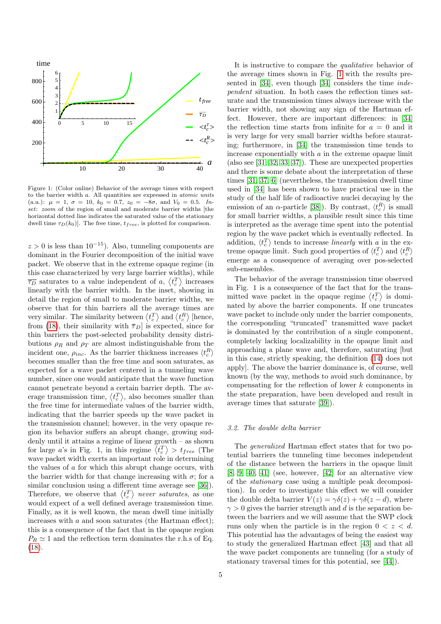

<span id="page-4-0"></span>Figure 1: (Color online) Behavior of the average times with respect to the barrier width a. All quantities are expressed in atomic units (a.u.):  $\mu = 1, \sigma = 10, k_0 = 0.7, z_0 = -8\sigma$ , and  $V_0 = 0.5$ . Inset: zoom of the region of small and moderate barrier widths [the horizontal dotted line indicates the saturated value of the stationary dwell time  $\tau_D(k_0)$ . The free time,  $t_{free}$ , is plotted for comparison.

 $z > 0$  is less than 10<sup>-15</sup>). Also, tunneling components are dominant in the Fourier decomposition of the initial wave packet. We observe that in the extreme opaque regime (in this case characterized by very large barrier widths), while  $\overline{\tau_D}$  saturates to a value independent of a,  $\langle t_c^T \rangle$  increases linearly with the barrier width. In the inset, showing in detail the region of small to moderate barrier widths, we observe that for thin barriers all the average times are very similar. The similarity between  $\langle t_c^T \rangle$  and  $\langle t_c^R \rangle$  [hence, from [\(18\)](#page-3-1), their similarity with  $\overline{\tau}_D$  is expected, since for thin barriers the post-selected probability density distributions  $\rho_R$  and  $\rho_T$  are almost indistinguishable from the incident one,  $\rho_{inc}$ . As the barrier thickness increases  $\langle t_c^R \rangle$ becomes smaller than the free time and soon saturates, as expected for a wave packet centered in a tunneling wave number, since one would anticipate that the wave function cannot penetrate beyond a certain barrier depth. The average transmission time,  $\langle t_c^T \rangle$ , also becomes smaller than the free time for intermediate values of the barrier width, indicating that the barrier speeds up the wave packet in the transmission channel; however, in the very opaque region its behavior suffers an abrupt change, growing suddenly until it attains a regime of linear growth – as shown for large *a*'s in Fig. 1, in this regime  $\langle t_c^T \rangle > t_{free}$  (The wave packet width exerts an important role in determining the values of  $a$  for which this abrupt change occurs, with the barrier width for that change increasing with  $\sigma$ ; for a similar conclusion using a different time average see [\[36\]](#page-8-1)). Therefore, we observe that  $\langle t_c^T \rangle$  never saturates, as one would expect of a well defined average transmission time. Finally, as it is well known, the mean dwell time initially increases with a and soon saturates (the Hartman effect); this is a consequence of the fact that in the opaque region  $P_R \simeq 1$  and the reflection term dominates the r.h.s of Eq. [\(18\)](#page-3-1).

the average times shown in Fig. [1](#page-4-0) with the results presented in [\[34\]](#page-7-33), even though [\[34\]](#page-7-33) considers the time independent situation. In both cases the reflection times saturate and the transmission times always increase with the barrier width, not showing any sign of the Hartman effect. However, there are important differences: in [\[34\]](#page-7-33) the reflection time starts from infinite for  $a = 0$  and it is very large for very small barrier widths before staurating; furthermore, in [\[34\]](#page-7-33) the transmission time tends to increase exponentially with  $a$  in the extreme opaque limit (also see [\[31,](#page-7-30) [32,](#page-7-31) [33,](#page-7-32) [37\]](#page-8-2)). These are unexpected properties and there is some debate about the interpretation of these times [\[31,](#page-7-30) [37,](#page-8-2) [6\]](#page-7-5) (nevertheless, the transmission dwell time used in [\[34\]](#page-7-33) has been shown to have practical use in the study of the half life of radioactive nuclei decaying by the emission of an  $\alpha$ -particle [\[38\]](#page-8-3)). By contrast,  $\langle t_c^R \rangle$  is small for small barrier widths, a plausible result since this time is interpreted as the average time spent into the potential region by the wave packet which is eventually reflected. In addition,  $\langle t_c^T \rangle$  tends to increase *linearly* with a in the extreme opaque limit. Such good properties of  $\langle t_c^T \rangle$  and  $\langle t_c^R \rangle$ emerge as a consequence of averaging over pos-selected sub-ensembles. The behavior of the average transmission time observed

It is instructive to compare the qualitative behavior of

in Fig. 1 is a consequence of the fact that for the transmitted wave packet in the opaque regime  $\langle t_c^T \rangle$  is dominated by above the barrier components. If one truncates wave packet to include only under the barrier components, the corresponding "truncated" transmitted wave packet is dominated by the contribution of a single component, completely lacking localizability in the opaque limit and approaching a plane wave and, therefore, saturating [but in this case, strictly speaking, the definition [\(14\)](#page-2-1) does not apply]. The above the barrier dominance is, of course, well known (by the way, methods to avoid such dominance, by compensating for the reflection of lower k components in the state preparation, have been developed and result in average times that saturate [\[39\]](#page-8-4)).

#### 3.2. The double delta barrier

The generalized Hartman effect states that for two potential barriers the tunneling time becomes independent of the distance between the barriers in the opaque limit [\[8,](#page-7-7) [9,](#page-7-8) [40,](#page-8-5) [41\]](#page-8-6) (see, however, [\[42\]](#page-8-7) for an alternative view of the stationary case using a multiple peak decomposition). In order to investigate this effect we will consider the double delta barrier  $V(z) = \gamma \delta(z) + \gamma \delta(z - d)$ , where  $\gamma > 0$  gives the barrier strength and d is the separation between the barriers and we will assume that the SWP clock runs only when the particle is in the region  $0 < z < d$ . This potential has the advantages of being the easiest way to study the generalized Hartman effect [\[43\]](#page-8-8) and that all the wave packet components are tunneling (for a study of stationary traversal times for this potential, see [\[44\]](#page-8-9)).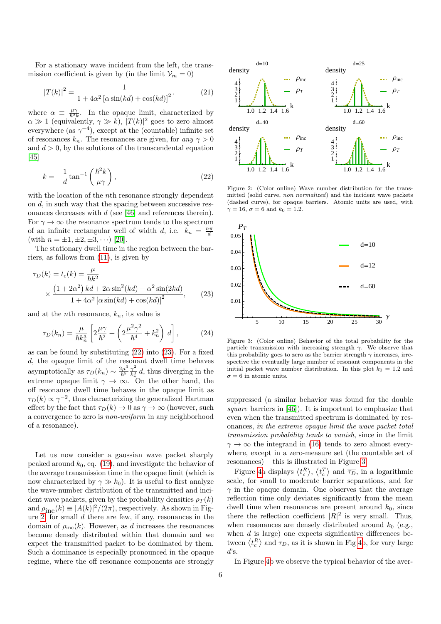For a stationary wave incident from the left, the transmission coefficient is given by (in the limit  $\mathcal{V}_m = 0$ )

$$
|T(k)|^2 = \frac{1}{1 + 4\alpha^2 \left[\alpha \sin(kd) + \cos(kd)\right]^2}.
$$
 (21)

where  $\alpha \equiv \frac{\mu\gamma}{\hbar^2 k}$ . In the opaque limit, characterized by  $\alpha \gg 1$  (equivalently,  $\gamma \gg k$ ),  $|T(k)|^2$  goes to zero almost everywhere (as  $\gamma^{-4}$ ), except at the (countable) infinite set of resonances  $k_n$ . The resonances are given, for any  $\gamma > 0$ and  $d > 0$ , by the solutions of the transcendental equation [\[45\]](#page-8-10)

<span id="page-5-0"></span>
$$
k = -\frac{1}{d} \tan^{-1} \left( \frac{\hbar^2 k}{\mu \gamma} \right),\tag{22}
$$

with the location of the *n*<sup>th</sup> resonance strongly dependent on d, in such way that the spacing between successive resonances decreases with  $d$  (see [\[46\]](#page-8-11) and references therein). For  $\gamma \to \infty$  the resonance spectrum tends to the spectrum of an infinite rectangular well of width d, i.e.  $k_n = \frac{n\pi}{d}$ (with  $n = \pm 1, \pm 2, \pm 3, \cdots$ ) [\[20\]](#page-7-19).

The stationary dwell time in the region between the barriers, as follows from [\(11\)](#page-2-4), is given by

<span id="page-5-1"></span>
$$
\tau_D(k) = t_c(k) = \frac{\mu}{\hbar k^2}
$$
  
 
$$
\times \frac{\left(1 + 2\alpha^2\right)kd + 2\alpha\sin^2(kd) - \alpha^2\sin(2kd)}{1 + 4\alpha^2\left[\alpha\sin(kd) + \cos(kd)\right]^2},
$$
 (23)

and at the *n*th resonance,  $k_n$ , its value is

<span id="page-5-4"></span>
$$
\tau_D(k_n) = \frac{\mu}{\hbar k_n^3} \left[ 2\frac{\mu\gamma}{\hbar^2} + \left( 2\frac{\mu^2\gamma^2}{\hbar^4} + k_n^2 \right) d \right],\tag{24}
$$

as can be found by substituting [\(22\)](#page-5-0) into [\(23\)](#page-5-1). For a fixed d, the opaque limit of the resonant dwell time behaves asymptotically as  $\tau_D(k_n) \sim \frac{2\mu^3}{\hbar^5} \frac{\gamma^2}{k^3}$  $\frac{\gamma}{k_n^3}$  d, thus diverging in the extreme opaque limit  $\gamma \to \infty$ . On the other hand, the off resonance dwell time behaves in the opaque limit as  $\tau_D(k) \propto \gamma^{-2}$ , thus characterizing the generalized Hartman effect by the fact that  $\tau_D(k) \to 0$  as  $\gamma \to \infty$  (however, such a convergence to zero is non-uniform in any neighborhood of a resonance).

Let us now consider a gaussian wave packet sharply peaked around  $k_0$ , eq. [\(19\)](#page-3-4), and investigate the behavior of the average transmission time in the opaque limit (which is now characterized by  $\gamma \gg k_0$ ). It is useful to first analyze the wave-number distribution of the transmitted and incident wave packets, given by the probability densities  $\rho_T(k)$ and  $\rho_{\text{inc}}(k) \equiv |A(k)|^2/(2\pi)$ , respectively. As shown in Fig-ure [2,](#page-5-2) for small  $d$  there are few, if any, resonances in the domain of  $\rho_{\text{inc}}(k)$ . However, as d increases the resonances become densely distributed within that domain and we expect the transmitted packet to be dominated by them. Such a dominance is especially pronounced in the opaque regime, where the off resonance components are strongly



<span id="page-5-2"></span>Figure 2: (Color online) Wave number distribution for the transmitted (solid curve, non normalized) and the incident wave packets (dashed curve), for opaque barriers. Atomic units are used, with  $\gamma = 16$ ,  $\sigma = 6$  and  $k_0 = 1.2$ .



<span id="page-5-3"></span>Figure 3: (Color online) Behavior of the total probability for the particle transmission with increasing strength  $\gamma$ . We observe that this probability goes to zero as the barrier strength  $\gamma$  increases, irrespective the eventually large number of resonant components in the initial packet wave number distribution. In this plot  $k_0 = 1.2$  and  $\sigma = 6$  in atomic units.

suppressed (a similar behavior was found for the double square barriers in [\[46\]](#page-8-11)). It is important to emphasize that even when the transmitted spectrum is dominated by resonances, in the extreme opaque limit the wave packet total transmission probability tends to vanish, since in the limit  $\gamma \to \infty$  the integrand in [\(16\)](#page-3-5) tends to zero almost everywhere, except in a zero-measure set (the countable set of resonances) – this is illustrated in Figure [3.](#page-5-3)

Figure [4a](#page-6-1) displays  $\langle t_c^R \rangle$ ,  $\langle t_c^T \rangle$  and  $\overline{\tau_D}$ , in a logarithmic scale, for small to moderate barrier separations, and for  $\gamma$  in the opaque domain. One observes that the average reflection time only deviates significantly from the mean dwell time when resonances are present around  $k_0$ , since there the reflection coefficient  $|R|^2$  is very small. Thus, when resonances are densely distributed around  $k_0$  (e.g., when  $d$  is large) one expects significative differences between  $\langle t_c^R \rangle$  and  $\overline{\tau_D}$ , as it is shown in Fig [4b](#page-6-1), for vary large  $d$ 's.

In Figure [4b](#page-6-1) we observe the typical behavior of the aver-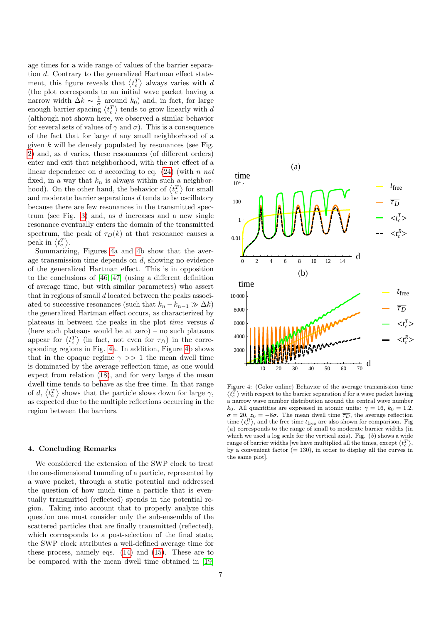age times for a wide range of values of the barrier separation d. Contrary to the generalized Hartman effect statement, this figure reveals that  $\langle t_c^T \rangle$  always varies with d (the plot corresponds to an initial wave packet having a narrow width  $\Delta k \sim \frac{1}{\sigma}$  around  $k_0$ ) and, in fact, for large enough barrier spacing  $\langle t_c^T \rangle$  tends to grow linearly with d (although not shown here, we observed a similar behavior for several sets of values of  $\gamma$  and  $\sigma$ ). This is a consequence of the fact that for large d any small neighborhood of a given  $k$  will be densely populated by resonances (see Fig. [2\)](#page-5-2) and, as d varies, these resonances (of different orders) enter and exit that neighborhood, with the net effect of a linear dependence on d according to eq.  $(24)$  (with n not fixed, in a way that  $k_n$  is always within such a neighborhood). On the other hand, the behavior of  $\langle t_c^T \rangle$  for small and moderate barrier separations  $d$  tends to be oscillatory because there are few resonances in the transmitted spec-trum (see Fig. [3\)](#page-5-3) and, as  $d$  increases and a new single resonance eventually enters the domain of the transmitted spectrum, the peak of  $\tau_D(k)$  at that resonance causes a peak in  $\langle t_c^T \rangle$ .

Summarizing, Figures [4a](#page-6-1) and [4b](#page-6-1) show that the average transmission time depends on d, showing no evidence of the generalized Hartman effect. This is in opposition to the conclusions of [\[46,](#page-8-11) [47\]](#page-8-12) (using a different definition of average time, but with similar parameters) who assert that in regions of small d located between the peaks associated to successive resonances (such that  $k_n - k_{n-1} \gg \Delta k$ ) the generalized Hartman effect occurs, as characterized by plateaus in between the peaks in the plot time versus d (here such plateaus would be at zero) – no such plateaus appear for  $\langle t_c^T \rangle$  (in fact, not even for  $\overline{\tau_D}$ ) in the corresponding regions in Fig. [4a](#page-6-1). In addition, Figure [4b](#page-6-1) shows that in the opaque regime  $\gamma \gg 1$  the mean dwell time is dominated by the average reflection time, as one would expect from relation  $(18)$ , and for very large d the mean dwell time tends to behave as the free time. In that range of d,  $\langle t_c^T \rangle$  shows that the particle slows down for large  $\gamma$ , as expected due to the multiple reflections occurring in the region between the barriers.

## <span id="page-6-0"></span>4. Concluding Remarks

We considered the extension of the SWP clock to treat the one-dimensional tunneling of a particle, represented by a wave packet, through a static potential and addressed the question of how much time a particle that is eventually transmitted (reflected) spends in the potential region. Taking into account that to properly analyze this question one must consider only the sub-ensemble of the scattered particles that are finally transmitted (reflected), which corresponds to a post-selection of the final state, the SWP clock attributes a well-defined average time for these process, namely eqs. [\(14\)](#page-2-1) and [\(15\)](#page-2-2). These are to be compared with the mean dwell time obtained in [\[19\]](#page-7-18)



<span id="page-6-1"></span>Figure 4: (Color online) Behavior of the average transmission time  $\langle t_{c}^{T}\rangle$  with respect to the barrier separation d for a wave packet having a narrow wave number distribution around the central wave number k<sub>0</sub>. All quantities are expressed in atomic units:  $\gamma = 16$ ,  $k_0 = 1.2$ ,  $\sigma = 20$ ,  $z_0 = -8\sigma$ . The mean dwell time  $\overline{\tau_D}$ , the average reflection time  $\langle t_c^R \rangle$ , and the free time  $t_{\text{free}}$  are also shown for comparison. Fig  $(a)$  corresponds to the range of small to moderate barrier widths (in which we used a log scale for the vertical axis). Fig.  $(b)$  shows a wide range of barrier widths [we have multiplied all the times, except  $\langle t_c^T \rangle$ , by a convenient factor  $(= 130)$ , in order to display all the curves in the same plot].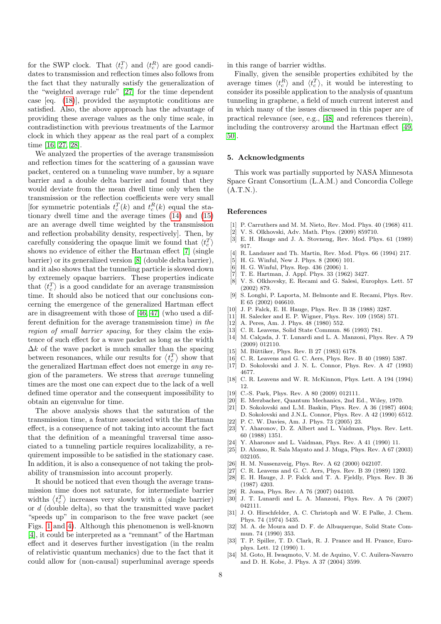for the SWP clock. That  $\langle t_c^T \rangle$  and  $\langle t_c^R \rangle$  are good candidates to transmission and reflection times also follows from the fact that they naturally satisfy the generalization of the "weighted average rule" [\[27\]](#page-7-26) for the time dependent case [eq. [\(18\)](#page-3-1)], provided the asymptotic conditions are satisfied. Also, the above approach has the advantage of providing these average values as the only time scale, in contradistinction with previous treatments of the Larmor clock in which they appear as the real part of a complex time [\[16,](#page-7-15) [27,](#page-7-26) [28\]](#page-7-27).

We analyzed the properties of the average transmission and reflection times for the scattering of a gaussian wave packet, centered on a tunneling wave number, by a square barrier and a double delta barrier and found that they would deviate from the mean dwell time only when the transmission or the reflection coefficients were very small [for symmetric potentials  $t_c^T(k)$  and  $t_c^R(k)$  equal the stationary dwell time and the average times [\(14\)](#page-2-1) and [\(15\)](#page-2-2) are an average dwell time weighted by the transmission and reflection probability density, respectively]. Then, by carefully considering the opaque limit we found that  $\langle t_c^T \rangle$ shows no evidence of either the Hartman effect [\[7\]](#page-7-6) (single barrier) or its generalized version [\[8\]](#page-7-7) (double delta barrier), and it also shows that the tunneling particle is slowed down by extremely opaque barriers. These properties indicate that  $\langle t_c^T \rangle$  is a good candidate for an average transmission time. It should also be noticed that our conclusions concerning the emergence of the generalized Hartman effect are in disagreement with those of [\[46,](#page-8-11) [47\]](#page-8-12) (who used a different definition for the average transmission time) in the region of small barrier spacing, for they claim the existence of such effect for a wave packet as long as the width  $\Delta k$  of the wave packet is much smaller than the spacing between resonances, while our results for  $\langle t_c^T \rangle$  show that the generalized Hartman effect does not emerge in any region of the parameters. We stress that average tunneling times are the most one can expect due to the lack of a well defined time operator and the consequent impossibility to obtain an eigenvalue for time.

The above analysis shows that the saturation of the transmission time, a feature associated with the Hartman effect, is a consequence of not taking into account the fact that the definition of a meaningful traversal time associated to a tunneling particle requires localizability, a requirement impossible to be satisfied in the stationary case. In addition, it is also a consequence of not taking the probability of transmission into account properly.

It should be noticed that even though the average transmission time does not saturate, for intermediate barrier widths  $\langle t_c^T \rangle$  increases very slowly with a (single barrier) or d (double delta), so that the transmitted wave packet "speeds up" in comparison to the free wave packet (see Figs. [1](#page-4-0) and [4\)](#page-6-1). Although this phenomenon is well-known [\[4\]](#page-7-3), it could be interpreted as a "remnant" of the Hartman effect and it deserves further investigation (in the realm of relativistic quantum mechanics) due to the fact that it could allow for (non-causal) superluminal average speeds in this range of barrier widths.

Finally, given the sensible properties exhibited by the average times  $\langle t_c^R \rangle$  and  $\langle t_c^T \rangle$ , it would be interesting to consider its possible application to the analysis of quantum tunneling in graphene, a field of much current interest and in which many of the issues discussed in this paper are of practical relevance (see, e.g., [\[48\]](#page-8-13) and references therein), including the controversy around the Hartman effect [\[49,](#page-8-14) [50\]](#page-8-15).

## 5. Acknowledgments

This work was partially supported by NASA Minnesota Space Grant Consortium (L.A.M.) and Concordia College  $(A.T.N.)$ .

#### References

- <span id="page-7-0"></span>[1] P. Carruthers and M. M. Nieto, Rev. Mod. Phys. 40 (1968) 411.
- <span id="page-7-1"></span>[2] V. S. Olkhovski, Adv. Math. Phys. (2009) 859710.
- <span id="page-7-2"></span>[3] E. H. Hauge and J. A. Stovneng, Rev. Mod. Phys. 61 (1989) 917.
- <span id="page-7-3"></span>[4] R. Landauer and Th. Martin, Rev. Mod. Phys. 66 (1994) 217.
- <span id="page-7-4"></span>[5] H. G. Winful, New J. Phys. 8 (2006) 101.
- <span id="page-7-5"></span>H. G. Winful, Phys. Rep. 436 (2006) 1.
- <span id="page-7-6"></span>[7] T. E. Hartman, J. Appl. Phys. 33 (1962) 3427.
- <span id="page-7-7"></span>[8] V. S. Olkhovsky, E. Recami and G. Salesi, Europhys. Lett. 57 (2002) 879.
- <span id="page-7-8"></span>[9] S. Longhi, P. Laporta, M. Belmonte and E. Recami, Phys. Rev. E 65 (2002) 046610.
- <span id="page-7-9"></span>[10] J. P. Falck, E. H. Hauge, Phys. Rev. B 38 (1988) 3287.
- <span id="page-7-10"></span>[11] H. Salecker and E. P. Wigner, Phys. Rev. 109 (1958) 571.
- <span id="page-7-11"></span>[12] A. Peres, Am. J. Phys. 48 (1980) 552.
- <span id="page-7-12"></span>[13] C. R. Leavens, Solid State Commun. 86 (1993) 781.
- <span id="page-7-13"></span>[14] M. Calçada, J. T. Lunardi and L. A. Manzoni, Phys. Rev. A 79 (2009) 012110.
- <span id="page-7-14"></span>[15] M. Büttiker, Phys. Rev. B 27 (1983) 6178.
- <span id="page-7-15"></span>[16] C. R. Leavens and G. C. Aers, Phys. Rev. B 40 (1989) 5387.
- <span id="page-7-16"></span>[17] D. Sokolovski and J. N. L. Connor, Phys. Rev. A 47 (1993) 4677.
- <span id="page-7-17"></span>[18] C. R. Leavens and W. R. McKinnon, Phys. Lett. A 194 (1994) 12.
- <span id="page-7-18"></span>[19] C.-S. Park, Phys. Rev. A 80 (2009) 012111.
- <span id="page-7-19"></span>E. Merzbacher, Quantum Mechanics, 2nd Ed., Wiley, 1970.
- <span id="page-7-20"></span>[21] D. Sokolovski and L.M. Baskin, Phys. Rev. A 36 (1987) 4604; D. Sokolovski and J.N.L. Connor, Phys. Rev. A 42 (1990) 6512.
- <span id="page-7-21"></span>[22] P. C. W. Davies, Am. J. Phys. 73 (2005) 23.
- <span id="page-7-22"></span>[23] Y. Aharonov, D. Z. Albert and L. Vaidman, Phys. Rev. Lett. 60 (1988) 1351.
- <span id="page-7-23"></span>[24] Y. Aharonov and L. Vaidman, Phys. Rev. A 41 (1990) 11.
- <span id="page-7-24"></span>[25] D. Alonso, R. Sala Mayato and J. Muga, Phys. Rev. A 67 (2003) 032105.
- <span id="page-7-25"></span>[26] H. M. Nussenzveig, Phys. Rev. A 62 (2000) 042107.
- <span id="page-7-26"></span>[27] C. R. Leavens and G. C. Aers, Phys. Rev. B 39 (1989) 1202.
- <span id="page-7-27"></span>[28] E. H. Hauge, J. P. Falck and T. A. Fjeldly, Phys. Rev. B 36 (1987) 4203.
- <span id="page-7-28"></span>[29] R. Jozsa, Phys. Rev. A 76 (2007) 044103.
- <span id="page-7-29"></span>[30] J. T. Lunardi and L. A. Manzoni, Phys. Rev. A 76 (2007) 042111.
- <span id="page-7-30"></span>[31] J. O. Hirschfelder, A. C. Christoph and W. E Palke, J. Chem. Phys. 74 (1974) 5435.
- <span id="page-7-31"></span>[32] M. A. de Moura and D. F. de Albuquerque, Solid State Commun. 74 (1990) 353.
- <span id="page-7-32"></span>[33] T. P. Spiller, T. D. Clark, R. J. Prance and H. Prance, Europhys. Lett. 12 (1990) 1.
- <span id="page-7-33"></span>[34] M. Goto, H. Iwaqmoto, V. M. de Aquino, V. C. Auilera-Navarro and D. H. Kobe, J. Phys. A 37 (2004) 3599.